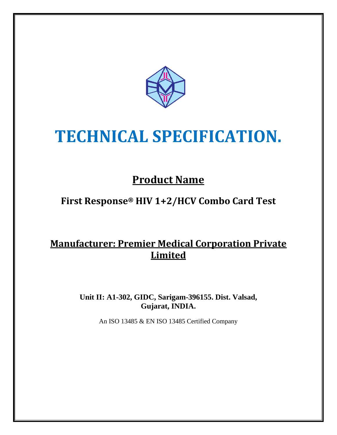

# **TECHNICAL SPECIFICATION.**

# **Product Name**

## **First Response® HIV 1+2/HCV Combo Card Test**

### **Manufacturer: Premier Medical Corporation Private Limited**

**Unit II: A1-302, GIDC, Sarigam-396155. Dist. Valsad, Gujarat, INDIA.**

An ISO 13485 & EN ISO 13485 Certified Company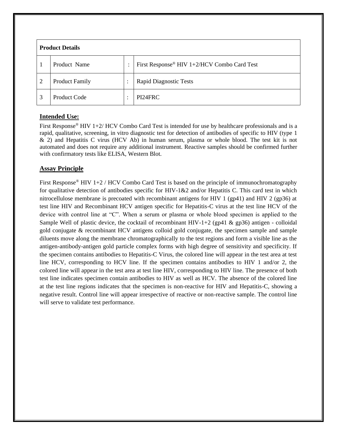| <b>Product Details</b> |                       |                           |                                             |
|------------------------|-----------------------|---------------------------|---------------------------------------------|
|                        | Product Name          | ٠<br>$\ddot{\phantom{0}}$ | First Response® HIV 1+2/HCV Combo Card Test |
| $\overline{2}$         | <b>Product Family</b> | $\bullet$                 | <b>Rapid Diagnostic Tests</b>               |
| 3                      | Product Code          | ٠                         | PI24FRC                                     |

#### **Intended Use:**

First Response® HIV 1+2/ HCV Combo Card Test is intended for use by healthcare professionals and is a rapid, qualitative, screening, in vitro diagnostic test for detection of antibodies of specific to HIV (type 1 & 2) and Hepatitis C virus (HCV Ab) in human serum, plasma or whole blood. The test kit is not automated and does not require any additional instrument. Reactive samples should be confirmed further with confirmatory tests like ELISA, Western Blot.

#### **Assay Principle**

First Response<sup>®</sup> HIV 1+2 / HCV Combo Card Test is based on the principle of immunochromatography for qualitative detection of antibodies specific for HIV-1&2 and/or Hepatitis C. This card test in which nitrocellulose membrane is precoated with recombinant antigens for HIV 1 (gp41) and HIV 2 (gp36) at test line HIV and Recombinant HCV antigen specific for Hepatitis-C virus at the test line HCV of the device with control line at "C". When a serum or plasma or whole blood specimen is applied to the Sample Well of plastic device, the cocktail of recombinant HIV-1+2 (gp41  $\&$  gp36) antigen - colloidal gold conjugate & recombinant HCV antigens colloid gold conjugate, the specimen sample and sample diluents move along the membrane chromatographically to the test regions and form a visible line as the antigen-antibody-antigen gold particle complex forms with high degree of sensitivity and specificity. If the specimen contains antibodies to Hepatitis-C Virus, the colored line will appear in the test area at test line HCV, corresponding to HCV line. If the specimen contains antibodies to HIV 1 and/or 2, the colored line will appear in the test area at test line HIV, corresponding to HIV line. The presence of both test line indicates specimen contain antibodies to HIV as well as HCV. The absence of the colored line at the test line regions indicates that the specimen is non-reactive for HIV and Hepatitis-C, showing a negative result. Control line will appear irrespective of reactive or non-reactive sample. The control line will serve to validate test performance.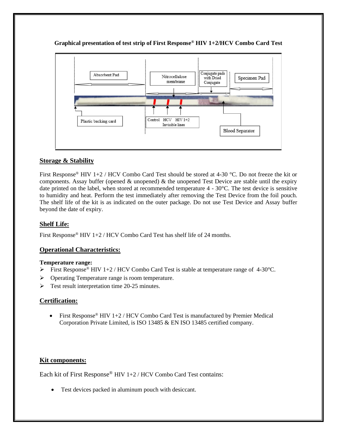

**Graphical presentation of test strip of First Response ® HIV 1+2/HCV Combo Card Test**

#### **Storage & Stability**

First Response<sup>®</sup> HIV 1+2 / HCV Combo Card Test should be stored at 4-30 °C. Do not freeze the kit or components. Assay buffer (opened  $\&$  unopened)  $\&$  the unopened Test Device are stable until the expiry date printed on the label, when stored at recommended temperature  $4 - 30^{\circ}$ C. The test device is sensitive to humidity and heat. Perform the test immediately after removing the Test Device from the foil pouch. The shelf life of the kit is as indicated on the outer package. Do not use Test Device and Assay buffer beyond the date of expiry.

#### **Shelf Life:**

First Response® HIV 1+2 / HCV Combo Card Test has shelf life of 24 months.

#### **Operational Characteristics:**

#### **Temperature range:**

- $\triangleright$  First Response<sup>®</sup> HIV 1+2 / HCV Combo Card Test is stable at temperature range of 4-30 °C.
- ➢ Operating Temperature range is room temperature.
- ➢ Test result interpretation time 20-25 minutes.

#### **Certification:**

• First Response<sup>®</sup> HIV 1+2 / HCV Combo Card Test is manufactured by Premier Medical Corporation Private Limited, is ISO 13485 & EN ISO 13485 certified company.

#### **Kit components:**

Each kit of First Response® HIV 1+2 / HCV Combo Card Test contains:

• Test devices packed in aluminum pouch with desiccant.